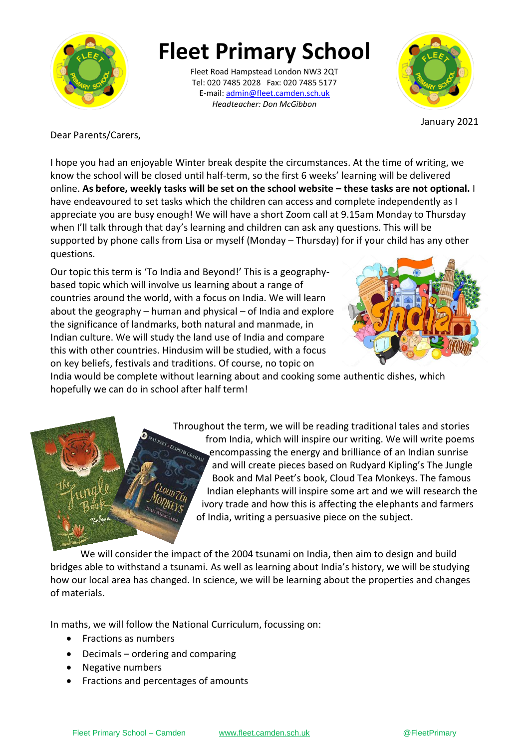

## **Fleet Primary School**

**\_\_\_\_\_\_\_\_\_\_[\\_\\_\\_\\_\\_\\_\\_\\_\\_\\_\\_\\_\\_](mailto:admin@fleet.camden.sch.uk)\_\_\_\_\_\_** E-mail: admin@fleet.camden.sch.uk Fleet Road Hampstead London NW3 2QT Tel: 020 7485 2028 Fax: 020 7485 5177 *Headteacher: Don McGibbon*



January 2021

Dear Parents/Carers,

I hope you had an enjoyable Winter break despite the circumstances. At the time of writing, we know the school will be closed until half-term, so the first 6 weeks' learning will be delivered online. **As before, weekly tasks will be set on the school website – these tasks are not optional.** I have endeavoured to set tasks which the children can access and complete independently as I appreciate you are busy enough! We will have a short Zoom call at 9.15am Monday to Thursday when I'll talk through that day's learning and children can ask any questions. This will be supported by phone calls from Lisa or myself (Monday – Thursday) for if your child has any other questions.

Our topic this term is 'To India and Beyond!' This is a geographybased topic which will involve us learning about a range of countries around the world, with a focus on India. We will learn about the geography – human and physical – of India and explore the significance of landmarks, both natural and manmade, in Indian culture. We will study the land use of India and compare this with other countries. Hindusim will be studied, with a focus on key beliefs, festivals and traditions. Of course, no topic on



India would be complete without learning about and cooking some authentic dishes, which hopefully we can do in school after half term!



Throughout the term, we will be reading traditional tales and stories from India, which will inspire our writing. We will write poems encompassing the energy and brilliance of an Indian sunrise and will create pieces based on Rudyard Kipling's The Jungle Book and Mal Peet's book, Cloud Tea Monkeys. The famous Indian elephants will inspire some art and we will research the ivory trade and how this is affecting the elephants and farmers of India, writing a persuasive piece on the subject.

We will consider the impact of the 2004 tsunami on India, then aim to design and build bridges able to withstand a tsunami. As well as learning about India's history, we will be studying how our local area has changed. In science, we will be learning about the properties and changes of materials.

In maths, we will follow the National Curriculum, focussing on:

- Fractions as numbers
- Decimals ordering and comparing
- Negative numbers
- Fractions and percentages of amounts